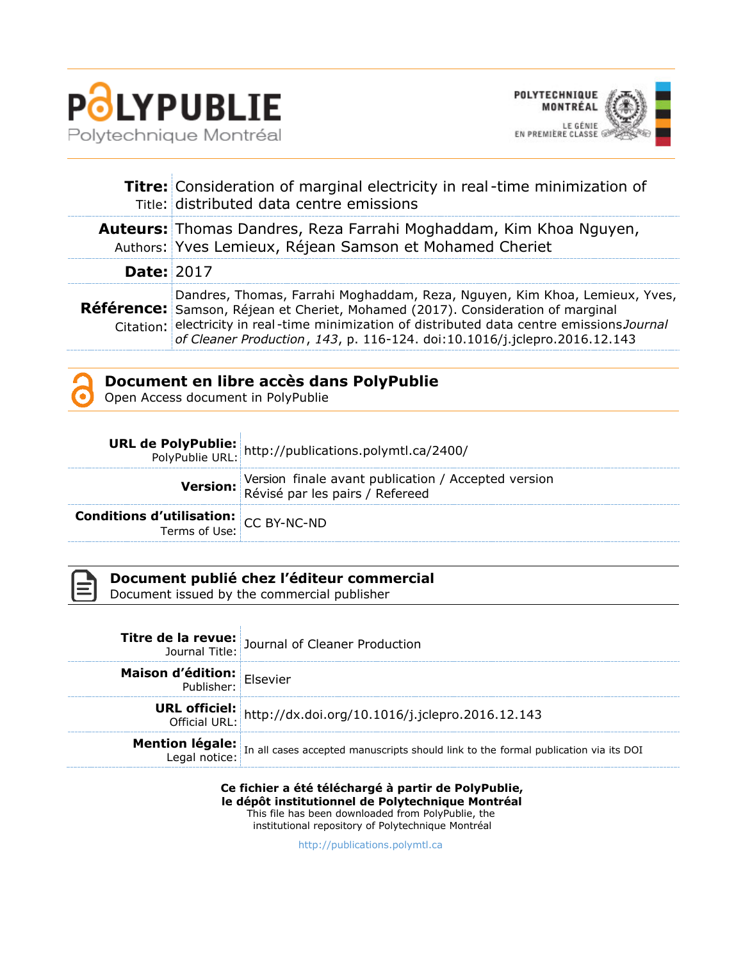



|                   | <b>Titre:</b> Consideration of marginal electricity in real-time minimization of<br>Title: distributed data centre emissions                                                                                                                                                                                                               |
|-------------------|--------------------------------------------------------------------------------------------------------------------------------------------------------------------------------------------------------------------------------------------------------------------------------------------------------------------------------------------|
|                   | <b>Auteurs:</b> Thomas Dandres, Reza Farrahi Moghaddam, Kim Khoa Nguyen,<br>Authors: Yves Lemieux, Réjean Samson et Mohamed Cheriet                                                                                                                                                                                                        |
| <b>Date: 2017</b> |                                                                                                                                                                                                                                                                                                                                            |
|                   | Dandres, Thomas, Farrahi Moghaddam, Reza, Nguyen, Kim Khoa, Lemieux, Yves,<br>Référence: Samson, Réjean et Cheriet, Mohamed (2017). Consideration of marginal<br>Citation: electricity in real-time minimization of distributed data centre emissions Journal<br>of Cleaner Production, 143, p. 116-124. doi:10.1016/j.jclepro.2016.12.143 |



**Document en libre accès dans PolyPublie**

Open Access document in PolyPublie

|                                                               | <b>URL de PolyPublie:</b> http://publications.polymtl.ca/2400/<br>PolyPublie URL: http://publications.polymtl.ca/2400/ |
|---------------------------------------------------------------|------------------------------------------------------------------------------------------------------------------------|
|                                                               | <b>Version:</b> Version finale avant publication / Accepted version<br>Révisé par les pairs / Refereed                 |
| <b>Conditions d'utilisation:</b><br>Terms of Use: CC BY-NC-ND |                                                                                                                        |



# **Document publié chez l'éditeur commercial**

Document issued by the commercial publisher

|                                   | <b>Titre de la revue:</b> Journal of Cleaner Production<br>Journal Title: Journal of Cleaner Production                                                                                                         |
|-----------------------------------|-----------------------------------------------------------------------------------------------------------------------------------------------------------------------------------------------------------------|
| <b>Maison d'édition:</b> Elsevier |                                                                                                                                                                                                                 |
|                                   | <b>URL officiel:</b> http://dx.doi.org/10.1016/j.jclepro.2016.12.143                                                                                                                                            |
|                                   | <b>Mention légale:</b> In all cases accepted manuscripts should link to the formal publication via its DOI<br>Legal notice: In all cases accepted manuscripts should link to the formal publication via its DOI |

#### **Ce fichier a été téléchargé à partir de PolyPublie, le dépôt institutionnel de Polytechnique Montréal** This file has been downloaded from PolyPublie, the

institutional repository of Polytechnique Montréal

[http://publications.polymtl.ca](http://publications.polymtl.ca/)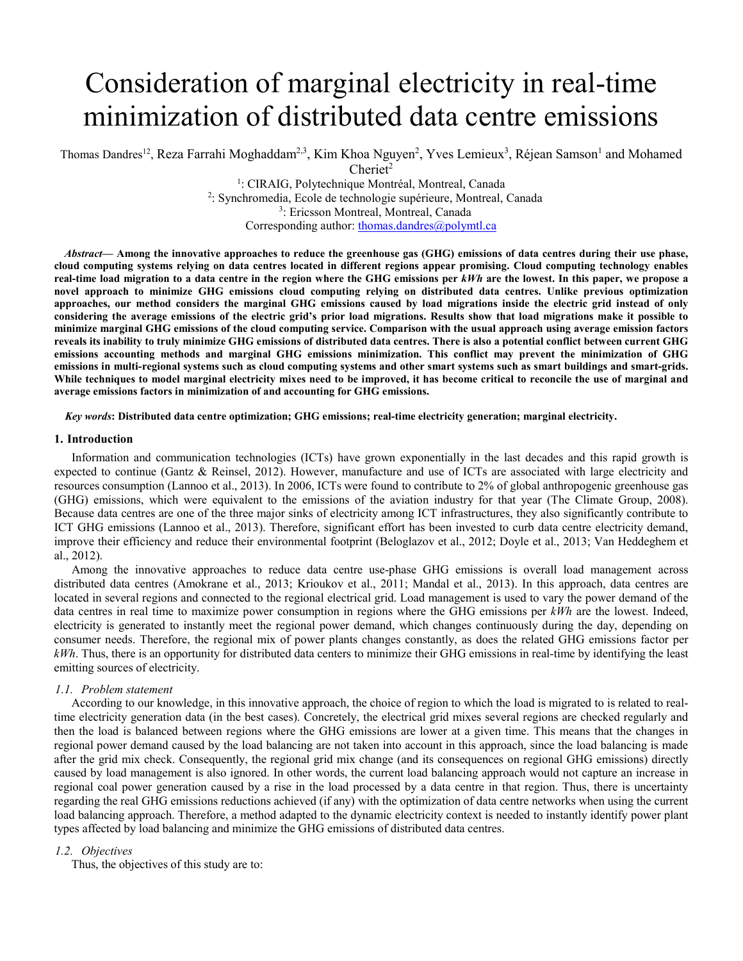# Consideration of marginal electricity in real-time minimization of distributed data centre emissions

Thomas Dandres<sup>12</sup>, Reza Farrahi Moghaddam<sup>2,3</sup>, Kim Khoa Nguyen<sup>2</sup>, Yves Lemieux<sup>3</sup>, Réjean Samson<sup>1</sup> and Mohamed  $Cheriet<sup>2</sup>$ 

> <sup>1</sup>: CIRAIG, Polytechnique Montréal, Montreal, Canada 2 : Synchromedia, Ecole de technologie supérieure, Montreal, Canada 3 : Ericsson Montreal, Montreal, Canada Corresponding author: [thomas.dandres@polymtl.ca](mailto:thomas.dandres@polymtl.ca)

*Abstract***— Among the innovative approaches to reduce the greenhouse gas (GHG) emissions of data centres during their use phase, cloud computing systems relying on data centres located in different regions appear promising. Cloud computing technology enables real-time load migration to a data centre in the region where the GHG emissions per** *kWh* **are the lowest. In this paper, we propose a novel approach to minimize GHG emissions cloud computing relying on distributed data centres. Unlike previous optimization approaches, our method considers the marginal GHG emissions caused by load migrations inside the electric grid instead of only considering the average emissions of the electric grid's prior load migrations. Results show that load migrations make it possible to minimize marginal GHG emissions of the cloud computing service. Comparison with the usual approach using average emission factors reveals its inability to truly minimize GHG emissions of distributed data centres. There is also a potential conflict between current GHG emissions accounting methods and marginal GHG emissions minimization. This conflict may prevent the minimization of GHG emissions in multi-regional systems such as cloud computing systems and other smart systems such as smart buildings and smart-grids. While techniques to model marginal electricity mixes need to be improved, it has become critical to reconcile the use of marginal and average emissions factors in minimization of and accounting for GHG emissions.**

*Key words***: Distributed data centre optimization; GHG emissions; real-time electricity generation; marginal electricity.**

#### **1. Introduction**

Information and communication technologies (ICTs) have grown exponentially in the last decades and this rapid growth is expected to continue [\(Gantz & Reinsel, 2012\)](#page-10-0). However, manufacture and use of ICTs are associated with large electricity and resources consumption [\(Lannoo et al., 2013\)](#page-10-1). In 2006, ICTs were found to contribute to 2% of global anthropogenic greenhouse gas (GHG) emissions, which were equivalent to the emissions of the aviation industry for that year [\(The Climate Group, 2008\)](#page-11-0). Because data centres are one of the three major sinks of electricity among ICT infrastructures, they also significantly contribute to ICT GHG emissions [\(Lannoo et al., 2013\)](#page-10-1). Therefore, significant effort has been invested to curb data centre electricity demand, improve their efficiency and reduce their environmental footprint [\(Beloglazov et al., 2012;](#page-9-0) [Doyle et al., 2013;](#page-10-2) [Van Heddeghem et](#page-11-1)  [al., 2012\)](#page-11-1).

Among the innovative approaches to reduce data centre use-phase GHG emissions is overall load management across distributed data centres [\(Amokrane et al., 2013;](#page-9-1) [Krioukov et al., 2011;](#page-10-3) [Mandal et al., 2013\)](#page-10-4). In this approach, data centres are located in several regions and connected to the regional electrical grid. Load management is used to vary the power demand of the data centres in real time to maximize power consumption in regions where the GHG emissions per *kWh* are the lowest. Indeed, electricity is generated to instantly meet the regional power demand, which changes continuously during the day, depending on consumer needs. Therefore, the regional mix of power plants changes constantly, as does the related GHG emissions factor per *kWh*. Thus, there is an opportunity for distributed data centers to minimize their GHG emissions in real-time by identifying the least emitting sources of electricity.

#### *1.1. Problem statement*

According to our knowledge, in this innovative approach, the choice of region to which the load is migrated to is related to realtime electricity generation data (in the best cases). Concretely, the electrical grid mixes several regions are checked regularly and then the load is balanced between regions where the GHG emissions are lower at a given time. This means that the changes in regional power demand caused by the load balancing are not taken into account in this approach, since the load balancing is made after the grid mix check. Consequently, the regional grid mix change (and its consequences on regional GHG emissions) directly caused by load management is also ignored. In other words, the current load balancing approach would not capture an increase in regional coal power generation caused by a rise in the load processed by a data centre in that region. Thus, there is uncertainty regarding the real GHG emissions reductions achieved (if any) with the optimization of data centre networks when using the current load balancing approach. Therefore, a method adapted to the dynamic electricity context is needed to instantly identify power plant types affected by load balancing and minimize the GHG emissions of distributed data centres.

#### *1.2. Objectives*

Thus, the objectives of this study are to: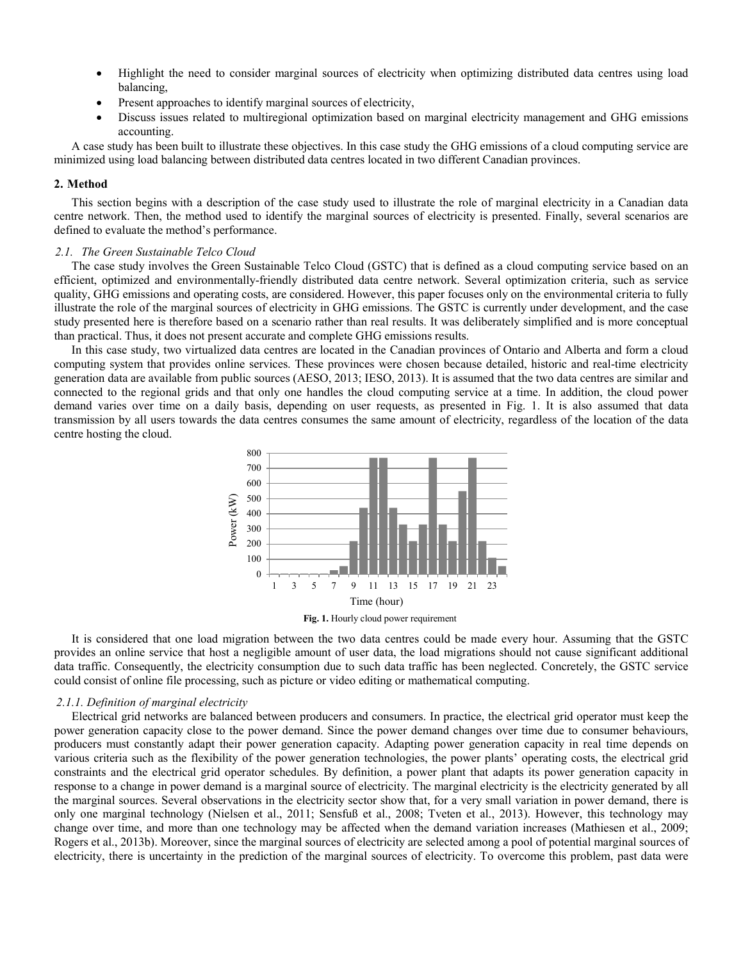- Highlight the need to consider marginal sources of electricity when optimizing distributed data centres using load balancing,
- Present approaches to identify marginal sources of electricity,
- Discuss issues related to multiregional optimization based on marginal electricity management and GHG emissions accounting.

A case study has been built to illustrate these objectives. In this case study the GHG emissions of a cloud computing service are minimized using load balancing between distributed data centres located in two different Canadian provinces.

#### **2. Method**

This section begins with a description of the case study used to illustrate the role of marginal electricity in a Canadian data centre network. Then, the method used to identify the marginal sources of electricity is presented. Finally, several scenarios are defined to evaluate the method's performance.

#### *2.1. The Green Sustainable Telco Cloud*

The case study involves the Green Sustainable Telco Cloud (GSTC) that is defined as a cloud computing service based on an efficient, optimized and environmentally-friendly distributed data centre network. Several optimization criteria, such as service quality, GHG emissions and operating costs, are considered. However, this paper focuses only on the environmental criteria to fully illustrate the role of the marginal sources of electricity in GHG emissions. The GSTC is currently under development, and the case study presented here is therefore based on a scenario rather than real results. It was deliberately simplified and is more conceptual than practical. Thus, it does not present accurate and complete GHG emissions results.

In this case study, two virtualized data centres are located in the Canadian provinces of Ontario and Alberta and form a cloud computing system that provides online services. These provinces were chosen because detailed, historic and real-time electricity generation data are available from public sources [\(AESO, 2013;](#page-9-2) [IESO, 2013\)](#page-10-5). It is assumed that the two data centres are similar and connected to the regional grids and that only one handles the cloud computing service at a time. In addition, the cloud power demand varies over time on a daily basis, depending on user requests, as presented in Fig. 1. It is also assumed that data transmission by all users towards the data centres consumes the same amount of electricity, regardless of the location of the data centre hosting the cloud.



**Fig. 1.** Hourly cloud power requirement

It is considered that one load migration between the two data centres could be made every hour. Assuming that the GSTC provides an online service that host a negligible amount of user data, the load migrations should not cause significant additional data traffic. Consequently, the electricity consumption due to such data traffic has been neglected. Concretely, the GSTC service could consist of online file processing, such as picture or video editing or mathematical computing.

#### *2.1.1. Definition of marginal electricity*

Electrical grid networks are balanced between producers and consumers. In practice, the electrical grid operator must keep the power generation capacity close to the power demand. Since the power demand changes over time due to consumer behaviours, producers must constantly adapt their power generation capacity. Adapting power generation capacity in real time depends on various criteria such as the flexibility of the power generation technologies, the power plants' operating costs, the electrical grid constraints and the electrical grid operator schedules. By definition, a power plant that adapts its power generation capacity in response to a change in power demand is a marginal source of electricity. The marginal electricity is the electricity generated by all the marginal sources. Several observations in the electricity sector show that, for a very small variation in power demand, there is only one marginal technology [\(Nielsen et al., 2011;](#page-10-6) [Sensfuß et al., 2008;](#page-11-2) [Tveten et al., 2013\)](#page-11-3). However, this technology may change over time, and more than one technology may be affected when the demand variation increases [\(Mathiesen et al., 2009;](#page-10-7) [Rogers et al., 2013b\)](#page-11-4). Moreover, since the marginal sources of electricity are selected among a pool of potential marginal sources of electricity, there is uncertainty in the prediction of the marginal sources of electricity. To overcome this problem, past data were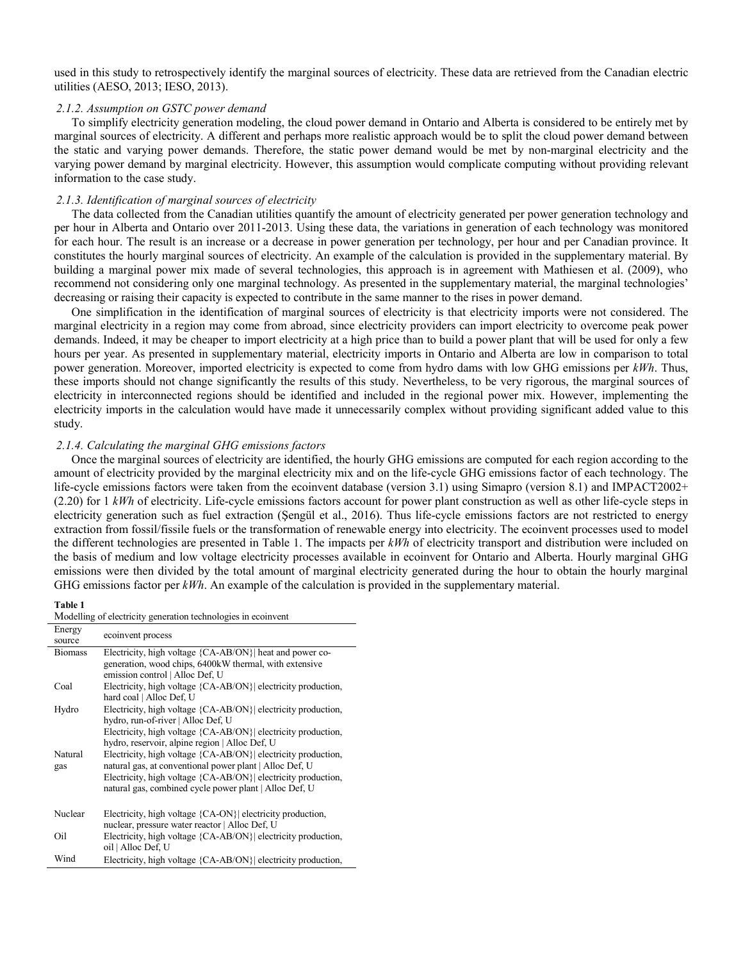used in this study to retrospectively identify the marginal sources of electricity. These data are retrieved from the Canadian electric utilities [\(AESO, 2013;](#page-9-2) [IESO, 2013\)](#page-10-5).

#### *2.1.2. Assumption on GSTC power demand*

To simplify electricity generation modeling, the cloud power demand in Ontario and Alberta is considered to be entirely met by marginal sources of electricity. A different and perhaps more realistic approach would be to split the cloud power demand between the static and varying power demands. Therefore, the static power demand would be met by non-marginal electricity and the varying power demand by marginal electricity. However, this assumption would complicate computing without providing relevant information to the case study.

# *2.1.3. Identification of marginal sources of electricity*

The data collected from the Canadian utilities quantify the amount of electricity generated per power generation technology and per hour in Alberta and Ontario over 2011-2013. Using these data, the variations in generation of each technology was monitored for each hour. The result is an increase or a decrease in power generation per technology, per hour and per Canadian province. It constitutes the hourly marginal sources of electricity. An example of the calculation is provided in the supplementary material. By building a marginal power mix made of several technologies, this approach is in agreement with Mathiesen et al. [\(2009\)](#page-10-7), who recommend not considering only one marginal technology. As presented in the supplementary material, the marginal technologies' decreasing or raising their capacity is expected to contribute in the same manner to the rises in power demand.

One simplification in the identification of marginal sources of electricity is that electricity imports were not considered. The marginal electricity in a region may come from abroad, since electricity providers can import electricity to overcome peak power demands. Indeed, it may be cheaper to import electricity at a high price than to build a power plant that will be used for only a few hours per year. As presented in supplementary material, electricity imports in Ontario and Alberta are low in comparison to total power generation. Moreover, imported electricity is expected to come from hydro dams with low GHG emissions per *kWh*. Thus, these imports should not change significantly the results of this study. Nevertheless, to be very rigorous, the marginal sources of electricity in interconnected regions should be identified and included in the regional power mix. However, implementing the electricity imports in the calculation would have made it unnecessarily complex without providing significant added value to this study.

#### *2.1.4. Calculating the marginal GHG emissions factors*

Once the marginal sources of electricity are identified, the hourly GHG emissions are computed for each region according to the amount of electricity provided by the marginal electricity mix and on the life-cycle GHG emissions factor of each technology. The life-cycle emissions factors were taken from the ecoinvent database (version 3.1) using Simapro (version 8.1) and IMPACT2002+ (2.20) for 1 *kWh* of electricity. Life-cycle emissions factors account for power plant construction as well as other life-cycle steps in electricity generation such as fuel extraction [\(Şengül et al., 2016\)](#page-11-5). Thus life-cycle emissions factors are not restricted to energy extraction from fossil/fissile fuels or the transformation of renewable energy into electricity. The ecoinvent processes used to model the different technologies are presented in Table 1. The impacts per *kWh* of electricity transport and distribution were included on the basis of medium and low voltage electricity processes available in ecoinvent for Ontario and Alberta. Hourly marginal GHG emissions were then divided by the total amount of marginal electricity generated during the hour to obtain the hourly marginal GHG emissions factor per *kWh*. An example of the calculation is provided in the supplementary material.

#### **Table 1**

| Modelling of electricity generation technologies in ecoinvent |  |  |  |  |
|---------------------------------------------------------------|--|--|--|--|
|                                                               |  |  |  |  |

| Energy<br>source | ecoinvent process                                                                                                                                                                                                                                                                                     |
|------------------|-------------------------------------------------------------------------------------------------------------------------------------------------------------------------------------------------------------------------------------------------------------------------------------------------------|
| <b>Biomass</b>   | Electricity, high voltage {CA-AB/ON}  heat and power co-<br>generation, wood chips, 6400kW thermal, with extensive<br>emission control   Alloc Def, U                                                                                                                                                 |
| Coal             | Electricity, high voltage {CA-AB/ON} electricity production,<br>hard coal   Alloc Def, U                                                                                                                                                                                                              |
| Hydro            | Electricity, high voltage {CA-AB/ON}  electricity production,<br>hydro, run-of-river   Alloc Def, U<br>Electricity, high voltage {CA-AB/ON} electricity production,                                                                                                                                   |
| Natural<br>gas   | hydro, reservoir, alpine region   Alloc Def, U<br>Electricity, high voltage {CA-AB/ON}  electricity production,<br>natural gas, at conventional power plant   Alloc Def, U<br>Electricity, high voltage {CA-AB/ON}  electricity production,<br>natural gas, combined cycle power plant   Alloc Def, U |
| Nuclear          | Electricity, high voltage {CA-ON}  electricity production,<br>nuclear, pressure water reactor   Alloc Def, U                                                                                                                                                                                          |
| Oil              | Electricity, high voltage {CA-AB/ON} electricity production,<br>oil   Alloc Def, U                                                                                                                                                                                                                    |
| Wind             | Electricity, high voltage {CA-AB/ON} electricity production,                                                                                                                                                                                                                                          |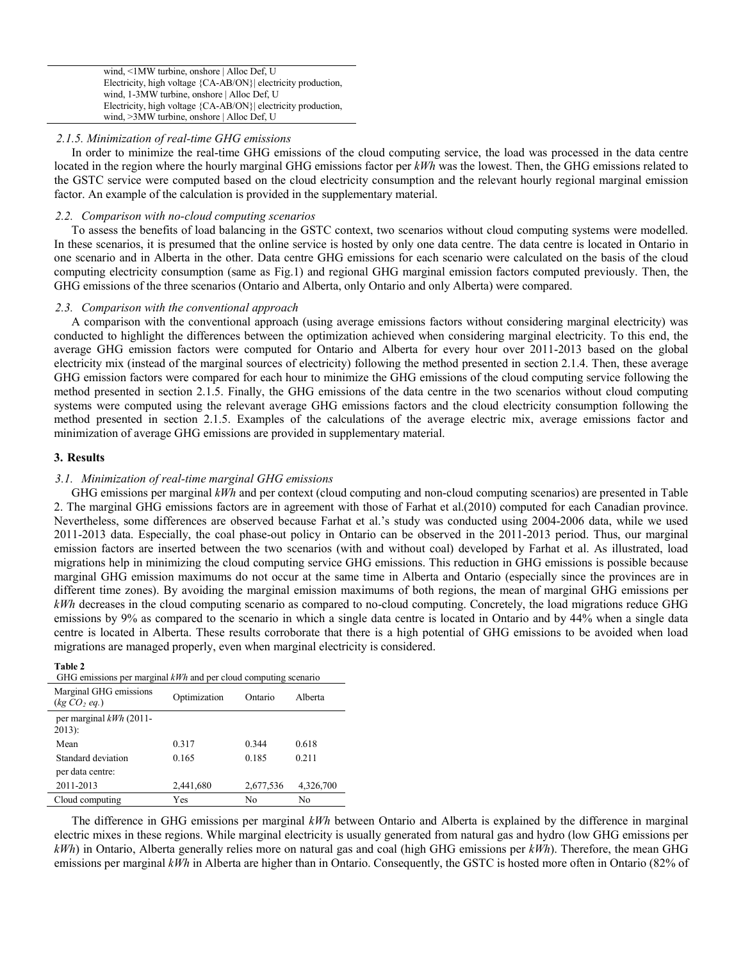wind, <1MW turbine, onshore | Alloc Def, U Electricity, high voltage {CA-AB/ON}| electricity production, wind, 1-3MW turbine, onshore | Alloc Def, U Electricity, high voltage {CA-AB/ON}| electricity production, wind, >3MW turbine, onshore | Alloc Def, U

# *2.1.5. Minimization of real-time GHG emissions*

In order to minimize the real-time GHG emissions of the cloud computing service, the load was processed in the data centre located in the region where the hourly marginal GHG emissions factor per *kWh* was the lowest. Then, the GHG emissions related to the GSTC service were computed based on the cloud electricity consumption and the relevant hourly regional marginal emission factor. An example of the calculation is provided in the supplementary material.

# *2.2. Comparison with no-cloud computing scenarios*

To assess the benefits of load balancing in the GSTC context, two scenarios without cloud computing systems were modelled. In these scenarios, it is presumed that the online service is hosted by only one data centre. The data centre is located in Ontario in one scenario and in Alberta in the other. Data centre GHG emissions for each scenario were calculated on the basis of the cloud computing electricity consumption (same as Fig.1) and regional GHG marginal emission factors computed previously. Then, the GHG emissions of the three scenarios (Ontario and Alberta, only Ontario and only Alberta) were compared.

# *2.3. Comparison with the conventional approach*

A comparison with the conventional approach (using average emissions factors without considering marginal electricity) was conducted to highlight the differences between the optimization achieved when considering marginal electricity. To this end, the average GHG emission factors were computed for Ontario and Alberta for every hour over 2011-2013 based on the global electricity mix (instead of the marginal sources of electricity) following the method presented in section 2.1.4. Then, these average GHG emission factors were compared for each hour to minimize the GHG emissions of the cloud computing service following the method presented in section 2.1.5. Finally, the GHG emissions of the data centre in the two scenarios without cloud computing systems were computed using the relevant average GHG emissions factors and the cloud electricity consumption following the method presented in section 2.1.5. Examples of the calculations of the average electric mix, average emissions factor and minimization of average GHG emissions are provided in supplementary material.

# **3. Results**

# *3.1. Minimization of real-time marginal GHG emissions*

GHG emissions per marginal *kWh* and per context (cloud computing and non-cloud computing scenarios) are presented in Table 2. The marginal GHG emissions factors are in agreement with those of Farhat et al.[\(2010\)](#page-10-8) computed for each Canadian province. Nevertheless, some differences are observed because Farhat et al.'s study was conducted using 2004-2006 data, while we used 2011-2013 data. Especially, the coal phase-out policy in Ontario can be observed in the 2011-2013 period. Thus, our marginal emission factors are inserted between the two scenarios (with and without coal) developed by Farhat et al. As illustrated, load migrations help in minimizing the cloud computing service GHG emissions. This reduction in GHG emissions is possible because marginal GHG emission maximums do not occur at the same time in Alberta and Ontario (especially since the provinces are in different time zones). By avoiding the marginal emission maximums of both regions, the mean of marginal GHG emissions per *kWh* decreases in the cloud computing scenario as compared to no-cloud computing. Concretely, the load migrations reduce GHG emissions by 9% as compared to the scenario in which a single data centre is located in Ontario and by 44% when a single data centre is located in Alberta. These results corroborate that there is a high potential of GHG emissions to be avoided when load migrations are managed properly, even when marginal electricity is considered.

#### **Table 2**

GHG emissions per marginal *kWh* and per cloud computing scenario

| Marginal GHG emissions<br>(kg CO, eq.) | Optimization | Ontario   | Alberta   |
|----------------------------------------|--------------|-----------|-----------|
| per marginal $kWh$ (2011-<br>$2013$ :  |              |           |           |
| Mean                                   | 0.317        | 0.344     | 0.618     |
| Standard deviation                     | 0.165        | 0.185     | 0.211     |
| per data centre:                       |              |           |           |
| 2011-2013                              | 2,441,680    | 2,677,536 | 4,326,700 |
| Cloud computing                        | Yes          | No        | No        |

The difference in GHG emissions per marginal *kWh* between Ontario and Alberta is explained by the difference in marginal electric mixes in these regions. While marginal electricity is usually generated from natural gas and hydro (low GHG emissions per *kWh*) in Ontario, Alberta generally relies more on natural gas and coal (high GHG emissions per *kWh*). Therefore, the mean GHG emissions per marginal *kWh* in Alberta are higher than in Ontario. Consequently, the GSTC is hosted more often in Ontario (82% of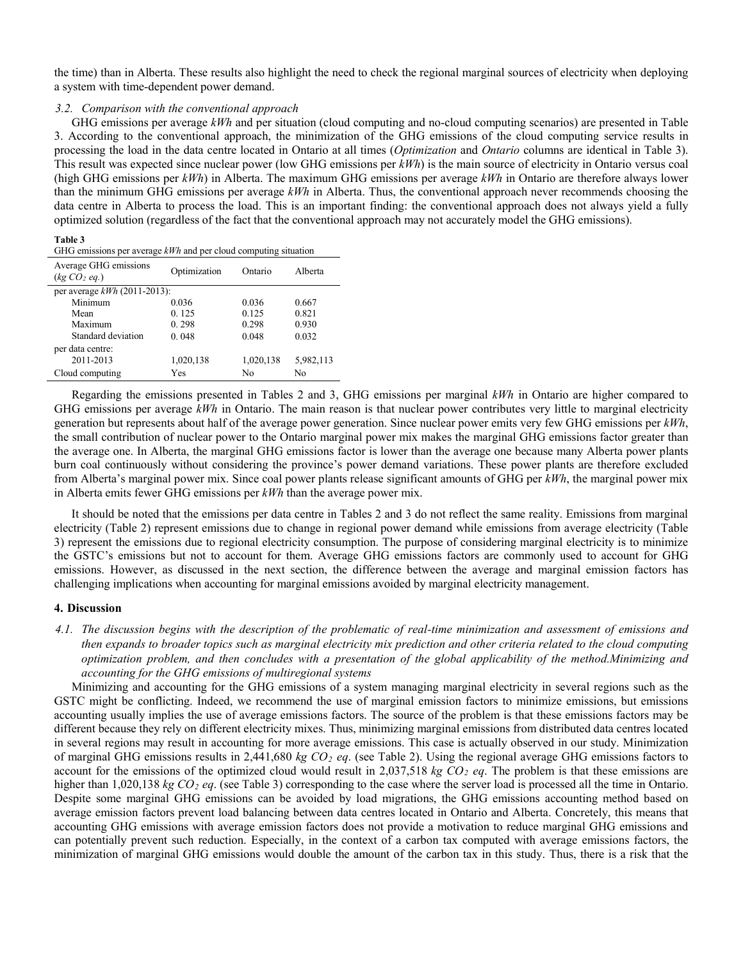the time) than in Alberta. These results also highlight the need to check the regional marginal sources of electricity when deploying a system with time-dependent power demand.

#### *3.2. Comparison with the conventional approach*

GHG emissions per average *kWh* and per situation (cloud computing and no-cloud computing scenarios) are presented in Table 3. According to the conventional approach, the minimization of the GHG emissions of the cloud computing service results in processing the load in the data centre located in Ontario at all times (*Optimization* and *Ontario* columns are identical in Table 3). This result was expected since nuclear power (low GHG emissions per *kWh*) is the main source of electricity in Ontario versus coal (high GHG emissions per *kWh*) in Alberta. The maximum GHG emissions per average *kWh* in Ontario are therefore always lower than the minimum GHG emissions per average *kWh* in Alberta. Thus, the conventional approach never recommends choosing the data centre in Alberta to process the load. This is an important finding: the conventional approach does not always yield a fully optimized solution (regardless of the fact that the conventional approach may not accurately model the GHG emissions).

**Table 3**

GHG emissions per average *kWh* and per cloud computing situation

| Average GHG emissions<br>(kg CO <sub>2</sub> eq.) | Optimization | Ontario   | Alberta   |  |
|---------------------------------------------------|--------------|-----------|-----------|--|
| per average $kWh$ (2011-2013):                    |              |           |           |  |
| Minimum                                           | 0.036        | 0.036     | 0.667     |  |
| Mean                                              | 0.125        | 0.125     | 0.821     |  |
| Maximum                                           | 0.298        | 0.298     | 0.930     |  |
| Standard deviation                                | 0.048        | 0.048     | 0.032     |  |
| per data centre:                                  |              |           |           |  |
| 2011-2013                                         | 1,020,138    | 1,020,138 | 5,982,113 |  |
| Cloud computing                                   | Yes          | No        | No        |  |

Regarding the emissions presented in Tables 2 and 3, GHG emissions per marginal *kWh* in Ontario are higher compared to GHG emissions per average *kWh* in Ontario. The main reason is that nuclear power contributes very little to marginal electricity generation but represents about half of the average power generation. Since nuclear power emits very few GHG emissions per *kWh*, the small contribution of nuclear power to the Ontario marginal power mix makes the marginal GHG emissions factor greater than the average one. In Alberta, the marginal GHG emissions factor is lower than the average one because many Alberta power plants burn coal continuously without considering the province's power demand variations. These power plants are therefore excluded from Alberta's marginal power mix. Since coal power plants release significant amounts of GHG per *kWh*, the marginal power mix in Alberta emits fewer GHG emissions per *kWh* than the average power mix.

It should be noted that the emissions per data centre in Tables 2 and 3 do not reflect the same reality. Emissions from marginal electricity (Table 2) represent emissions due to change in regional power demand while emissions from average electricity (Table 3) represent the emissions due to regional electricity consumption. The purpose of considering marginal electricity is to minimize the GSTC's emissions but not to account for them. Average GHG emissions factors are commonly used to account for GHG emissions. However, as discussed in the next section, the difference between the average and marginal emission factors has challenging implications when accounting for marginal emissions avoided by marginal electricity management.

# **4. Discussion**

*4.1. The discussion begins with the description of the problematic of real-time minimization and assessment of emissions and then expands to broader topics such as marginal electricity mix prediction and other criteria related to the cloud computing optimization problem, and then concludes with a presentation of the global applicability of the method.Minimizing and accounting for the GHG emissions of multiregional systems*

Minimizing and accounting for the GHG emissions of a system managing marginal electricity in several regions such as the GSTC might be conflicting. Indeed, we recommend the use of marginal emission factors to minimize emissions, but emissions accounting usually implies the use of average emissions factors. The source of the problem is that these emissions factors may be different because they rely on different electricity mixes. Thus, minimizing marginal emissions from distributed data centres located in several regions may result in accounting for more average emissions. This case is actually observed in our study. Minimization of marginal GHG emissions results in 2,441,680 *kg CO2 eq*. (see Table 2). Using the regional average GHG emissions factors to account for the emissions of the optimized cloud would result in 2,037,518 *kg CO<sub>2</sub> eq*. The problem is that these emissions are higher than 1,020,138 *kg CO2 eq*. (see Table 3) corresponding to the case where the server load is processed all the time in Ontario. Despite some marginal GHG emissions can be avoided by load migrations, the GHG emissions accounting method based on average emission factors prevent load balancing between data centres located in Ontario and Alberta. Concretely, this means that accounting GHG emissions with average emission factors does not provide a motivation to reduce marginal GHG emissions and can potentially prevent such reduction. Especially, in the context of a carbon tax computed with average emissions factors, the minimization of marginal GHG emissions would double the amount of the carbon tax in this study. Thus, there is a risk that the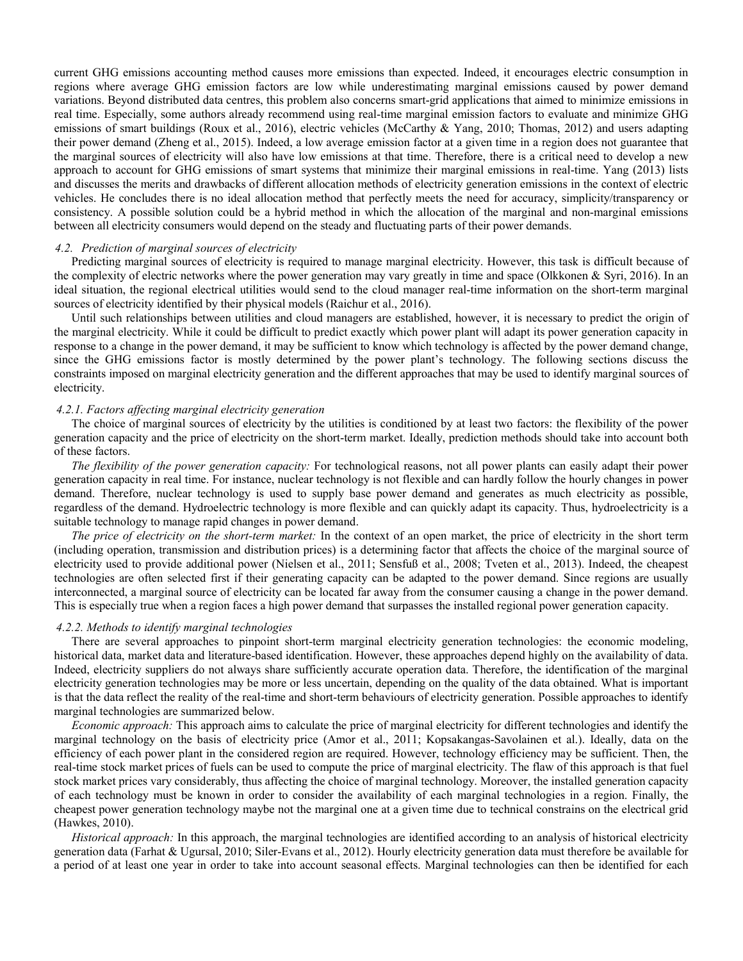current GHG emissions accounting method causes more emissions than expected. Indeed, it encourages electric consumption in regions where average GHG emission factors are low while underestimating marginal emissions caused by power demand variations. Beyond distributed data centres, this problem also concerns smart-grid applications that aimed to minimize emissions in real time. Especially, some authors already recommend using real-time marginal emission factors to evaluate and minimize GHG emissions of smart buildings [\(Roux et al., 2016\)](#page-11-6), electric vehicles [\(McCarthy & Yang, 2010;](#page-10-9) [Thomas, 2012\)](#page-11-7) and users adapting their power demand [\(Zheng et al., 2015\)](#page-11-8). Indeed, a low average emission factor at a given time in a region does not guarantee that the marginal sources of electricity will also have low emissions at that time. Therefore, there is a critical need to develop a new approach to account for GHG emissions of smart systems that minimize their marginal emissions in real-time. Yang [\(2013\)](#page-11-9) lists and discusses the merits and drawbacks of different allocation methods of electricity generation emissions in the context of electric vehicles. He concludes there is no ideal allocation method that perfectly meets the need for accuracy, simplicity/transparency or consistency. A possible solution could be a hybrid method in which the allocation of the marginal and non-marginal emissions between all electricity consumers would depend on the steady and fluctuating parts of their power demands.

# *4.2. Prediction of marginal sources of electricity*

Predicting marginal sources of electricity is required to manage marginal electricity. However, this task is difficult because of the complexity of electric networks where the power generation may vary greatly in time and space [\(Olkkonen & Syri, 2016\)](#page-10-10). In an ideal situation, the regional electrical utilities would send to the cloud manager real-time information on the short-term marginal sources of electricity identified by their physical models [\(Raichur et al., 2016\)](#page-11-10).

Until such relationships between utilities and cloud managers are established, however, it is necessary to predict the origin of the marginal electricity. While it could be difficult to predict exactly which power plant will adapt its power generation capacity in response to a change in the power demand, it may be sufficient to know which technology is affected by the power demand change, since the GHG emissions factor is mostly determined by the power plant's technology. The following sections discuss the constraints imposed on marginal electricity generation and the different approaches that may be used to identify marginal sources of electricity.

#### *4.2.1. Factors affecting marginal electricity generation*

The choice of marginal sources of electricity by the utilities is conditioned by at least two factors: the flexibility of the power generation capacity and the price of electricity on the short-term market. Ideally, prediction methods should take into account both of these factors.

*The flexibility of the power generation capacity:* For technological reasons, not all power plants can easily adapt their power generation capacity in real time. For instance, nuclear technology is not flexible and can hardly follow the hourly changes in power demand. Therefore, nuclear technology is used to supply base power demand and generates as much electricity as possible, regardless of the demand. Hydroelectric technology is more flexible and can quickly adapt its capacity. Thus, hydroelectricity is a suitable technology to manage rapid changes in power demand.

*The price of electricity on the short-term market:* In the context of an open market, the price of electricity in the short term (including operation, transmission and distribution prices) is a determining factor that affects the choice of the marginal source of electricity used to provide additional power [\(Nielsen et al., 2011;](#page-10-6) [Sensfuß et al., 2008;](#page-11-2) [Tveten et al., 2013\)](#page-11-3). Indeed, the cheapest technologies are often selected first if their generating capacity can be adapted to the power demand. Since regions are usually interconnected, a marginal source of electricity can be located far away from the consumer causing a change in the power demand. This is especially true when a region faces a high power demand that surpasses the installed regional power generation capacity.

#### *4.2.2. Methods to identify marginal technologies*

There are several approaches to pinpoint short-term marginal electricity generation technologies: the economic modeling, historical data, market data and literature-based identification. However, these approaches depend highly on the availability of data. Indeed, electricity suppliers do not always share sufficiently accurate operation data. Therefore, the identification of the marginal electricity generation technologies may be more or less uncertain, depending on the quality of the data obtained. What is important is that the data reflect the reality of the real-time and short-term behaviours of electricity generation. Possible approaches to identify marginal technologies are summarized below.

*Economic approach:* This approach aims to calculate the price of marginal electricity for different technologies and identify the marginal technology on the basis of electricity price [\(Amor et al., 2011;](#page-9-3) [Kopsakangas-Savolainen et al.\)](#page-10-11). Ideally, data on the efficiency of each power plant in the considered region are required. However, technology efficiency may be sufficient. Then, the real-time stock market prices of fuels can be used to compute the price of marginal electricity. The flaw of this approach is that fuel stock market prices vary considerably, thus affecting the choice of marginal technology. Moreover, the installed generation capacity of each technology must be known in order to consider the availability of each marginal technologies in a region. Finally, the cheapest power generation technology maybe not the marginal one at a given time due to technical constrains on the electrical grid [\(Hawkes, 2010\)](#page-10-12).

*Historical approach:* In this approach, the marginal technologies are identified according to an analysis of historical electricity generation data [\(Farhat & Ugursal, 2010;](#page-10-8) [Siler-Evans et al., 2012\)](#page-11-11). Hourly electricity generation data must therefore be available for a period of at least one year in order to take into account seasonal effects. Marginal technologies can then be identified for each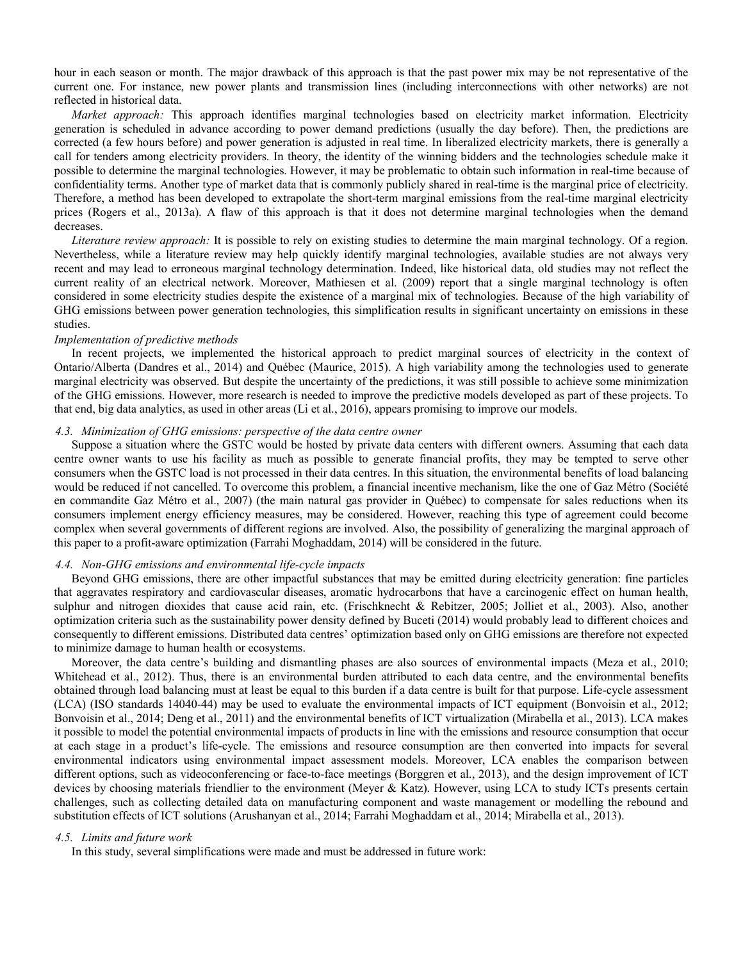hour in each season or month. The major drawback of this approach is that the past power mix may be not representative of the current one. For instance, new power plants and transmission lines (including interconnections with other networks) are not reflected in historical data.

*Market approach:* This approach identifies marginal technologies based on electricity market information. Electricity generation is scheduled in advance according to power demand predictions (usually the day before). Then, the predictions are corrected (a few hours before) and power generation is adjusted in real time. In liberalized electricity markets, there is generally a call for tenders among electricity providers. In theory, the identity of the winning bidders and the technologies schedule make it possible to determine the marginal technologies. However, it may be problematic to obtain such information in real-time because of confidentiality terms. Another type of market data that is commonly publicly shared in real-time is the marginal price of electricity. Therefore, a method has been developed to extrapolate the short-term marginal emissions from the real-time marginal electricity prices [\(Rogers et al., 2013a\)](#page-11-12). A flaw of this approach is that it does not determine marginal technologies when the demand decreases.

*Literature review approach:* It is possible to rely on existing studies to determine the main marginal technology. Of a region. Nevertheless, while a literature review may help quickly identify marginal technologies, available studies are not always very recent and may lead to erroneous marginal technology determination. Indeed, like historical data, old studies may not reflect the current reality of an electrical network. Moreover, Mathiesen et al. [\(2009\)](#page-10-7) report that a single marginal technology is often considered in some electricity studies despite the existence of a marginal mix of technologies. Because of the high variability of GHG emissions between power generation technologies, this simplification results in significant uncertainty on emissions in these studies.

#### *Implementation of predictive methods*

In recent projects, we implemented the historical approach to predict marginal sources of electricity in the context of Ontario/Alberta [\(Dandres et al., 2014\)](#page-10-13) and Québec [\(Maurice, 2015\)](#page-10-14). A high variability among the technologies used to generate marginal electricity was observed. But despite the uncertainty of the predictions, it was still possible to achieve some minimization of the GHG emissions. However, more research is needed to improve the predictive models developed as part of these projects. To that end, big data analytics, as used in other areas [\(Li et al., 2016\)](#page-10-15), appears promising to improve our models.

#### *4.3. Minimization of GHG emissions: perspective of the data centre owner*

Suppose a situation where the GSTC would be hosted by private data centers with different owners. Assuming that each data centre owner wants to use his facility as much as possible to generate financial profits, they may be tempted to serve other consumers when the GSTC load is not processed in their data centres. In this situation, the environmental benefits of load balancing would be reduced if not cancelled. To overcome this problem, a financial incentive mechanism, like the one of Gaz Métro [\(Société](#page-11-13)  [en commandite Gaz Métro et al., 2007\)](#page-11-13) (the main natural gas provider in Québec) to compensate for sales reductions when its consumers implement energy efficiency measures, may be considered. However, reaching this type of agreement could become complex when several governments of different regions are involved. Also, the possibility of generalizing the marginal approach of this paper to a profit-aware optimization [\(Farrahi Moghaddam, 2014\)](#page-10-16) will be considered in the future.

#### *4.4. Non-GHG emissions and environmental life-cycle impacts*

Beyond GHG emissions, there are other impactful substances that may be emitted during electricity generation: fine particles that aggravates respiratory and cardiovascular diseases, aromatic hydrocarbons that have a carcinogenic effect on human health, sulphur and nitrogen dioxides that cause acid rain, etc. [\(Frischknecht & Rebitzer, 2005;](#page-10-17) [Jolliet et al., 2003\)](#page-10-18). Also, another optimization criteria such as the sustainability power density defined by Buceti [\(2014\)](#page-10-19) would probably lead to different choices and consequently to different emissions. Distributed data centres' optimization based only on GHG emissions are therefore not expected to minimize damage to human health or ecosystems.

Moreover, the data centre's building and dismantling phases are also sources of environmental impacts [\(Meza et al., 2010;](#page-10-20) [Whitehead et al., 2012\)](#page-11-14). Thus, there is an environmental burden attributed to each data centre, and the environmental benefits obtained through load balancing must at least be equal to this burden if a data centre is built for that purpose. Life-cycle assessment (LCA) (ISO standards 14040-44) may be used to evaluate the environmental impacts of ICT equipment [\(Bonvoisin et al., 2012;](#page-9-4) [Bonvoisin et al., 2014;](#page-9-5) [Deng et al., 2011\)](#page-10-21) and the environmental benefits of ICT virtualization [\(Mirabella et al., 2013\)](#page-10-22). LCA makes it possible to model the potential environmental impacts of products in line with the emissions and resource consumption that occur at each stage in a product's life-cycle. The emissions and resource consumption are then converted into impacts for several environmental indicators using environmental impact assessment models. Moreover, LCA enables the comparison between different options, such as videoconferencing or face-to-face meetings [\(Borggren et al., 2013\)](#page-9-6), and the design improvement of ICT devices by choosing materials friendlier to the environment [\(Meyer & Katz\)](#page-10-23). However, using LCA to study ICTs presents certain challenges, such as collecting detailed data on manufacturing component and waste management or modelling the rebound and substitution effects of ICT solutions [\(Arushanyan et al., 2014;](#page-9-7) [Farrahi Moghaddam et al., 2014;](#page-10-24) [Mirabella et al., 2013\)](#page-10-22).

### *4.5. Limits and future work*

In this study, several simplifications were made and must be addressed in future work: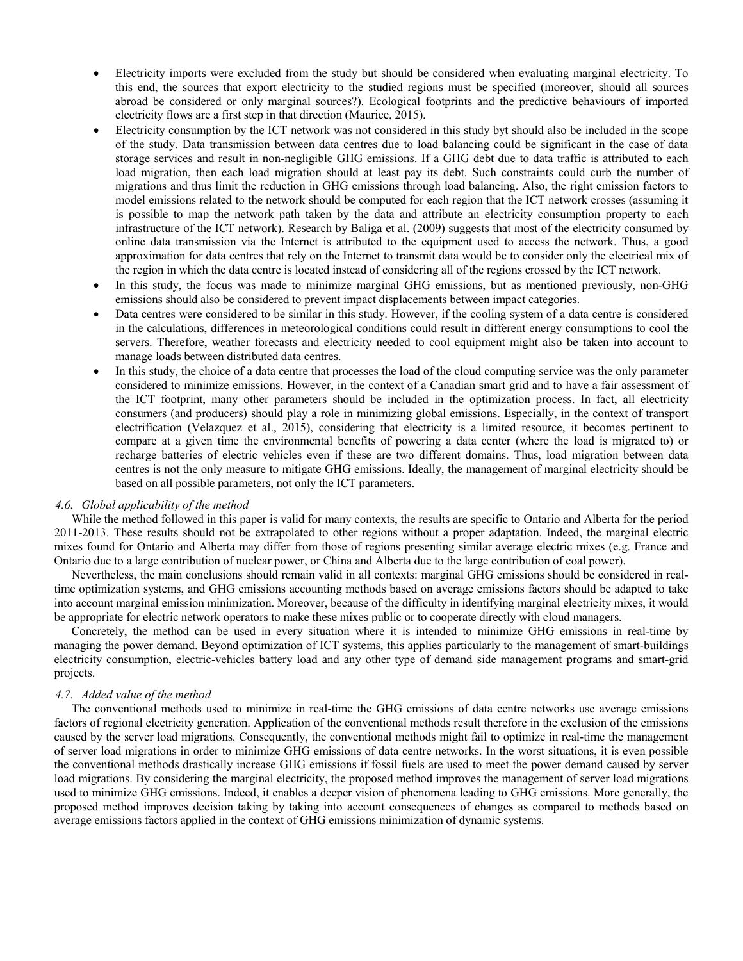- Electricity imports were excluded from the study but should be considered when evaluating marginal electricity. To this end, the sources that export electricity to the studied regions must be specified (moreover, should all sources abroad be considered or only marginal sources?). Ecological footprints and the predictive behaviours of imported electricity flows are a first step in that direction [\(Maurice, 2015\)](#page-10-14).
- Electricity consumption by the ICT network was not considered in this study byt should also be included in the scope of the study. Data transmission between data centres due to load balancing could be significant in the case of data storage services and result in non-negligible GHG emissions. If a GHG debt due to data traffic is attributed to each load migration, then each load migration should at least pay its debt. Such constraints could curb the number of migrations and thus limit the reduction in GHG emissions through load balancing. Also, the right emission factors to model emissions related to the network should be computed for each region that the ICT network crosses (assuming it is possible to map the network path taken by the data and attribute an electricity consumption property to each infrastructure of the ICT network). Research by Baliga et al. [\(2009\)](#page-9-8) suggests that most of the electricity consumed by online data transmission via the Internet is attributed to the equipment used to access the network. Thus, a good approximation for data centres that rely on the Internet to transmit data would be to consider only the electrical mix of the region in which the data centre is located instead of considering all of the regions crossed by the ICT network.
- In this study, the focus was made to minimize marginal GHG emissions, but as mentioned previously, non-GHG emissions should also be considered to prevent impact displacements between impact categories.
- Data centres were considered to be similar in this study. However, if the cooling system of a data centre is considered in the calculations, differences in meteorological conditions could result in different energy consumptions to cool the servers. Therefore, weather forecasts and electricity needed to cool equipment might also be taken into account to manage loads between distributed data centres.
- In this study, the choice of a data centre that processes the load of the cloud computing service was the only parameter considered to minimize emissions. However, in the context of a Canadian smart grid and to have a fair assessment of the ICT footprint, many other parameters should be included in the optimization process. In fact, all electricity consumers (and producers) should play a role in minimizing global emissions. Especially, in the context of transport electrification [\(Velazquez et al., 2015\)](#page-11-15), considering that electricity is a limited resource, it becomes pertinent to compare at a given time the environmental benefits of powering a data center (where the load is migrated to) or recharge batteries of electric vehicles even if these are two different domains. Thus, load migration between data centres is not the only measure to mitigate GHG emissions. Ideally, the management of marginal electricity should be based on all possible parameters, not only the ICT parameters.

#### *4.6. Global applicability of the method*

While the method followed in this paper is valid for many contexts, the results are specific to Ontario and Alberta for the period 2011-2013. These results should not be extrapolated to other regions without a proper adaptation. Indeed, the marginal electric mixes found for Ontario and Alberta may differ from those of regions presenting similar average electric mixes (e.g. France and Ontario due to a large contribution of nuclear power, or China and Alberta due to the large contribution of coal power).

Nevertheless, the main conclusions should remain valid in all contexts: marginal GHG emissions should be considered in realtime optimization systems, and GHG emissions accounting methods based on average emissions factors should be adapted to take into account marginal emission minimization. Moreover, because of the difficulty in identifying marginal electricity mixes, it would be appropriate for electric network operators to make these mixes public or to cooperate directly with cloud managers.

Concretely, the method can be used in every situation where it is intended to minimize GHG emissions in real-time by managing the power demand. Beyond optimization of ICT systems, this applies particularly to the management of smart-buildings electricity consumption, electric-vehicles battery load and any other type of demand side management programs and smart-grid projects.

#### *4.7. Added value of the method*

The conventional methods used to minimize in real-time the GHG emissions of data centre networks use average emissions factors of regional electricity generation. Application of the conventional methods result therefore in the exclusion of the emissions caused by the server load migrations. Consequently, the conventional methods might fail to optimize in real-time the management of server load migrations in order to minimize GHG emissions of data centre networks. In the worst situations, it is even possible the conventional methods drastically increase GHG emissions if fossil fuels are used to meet the power demand caused by server load migrations. By considering the marginal electricity, the proposed method improves the management of server load migrations used to minimize GHG emissions. Indeed, it enables a deeper vision of phenomena leading to GHG emissions. More generally, the proposed method improves decision taking by taking into account consequences of changes as compared to methods based on average emissions factors applied in the context of GHG emissions minimization of dynamic systems.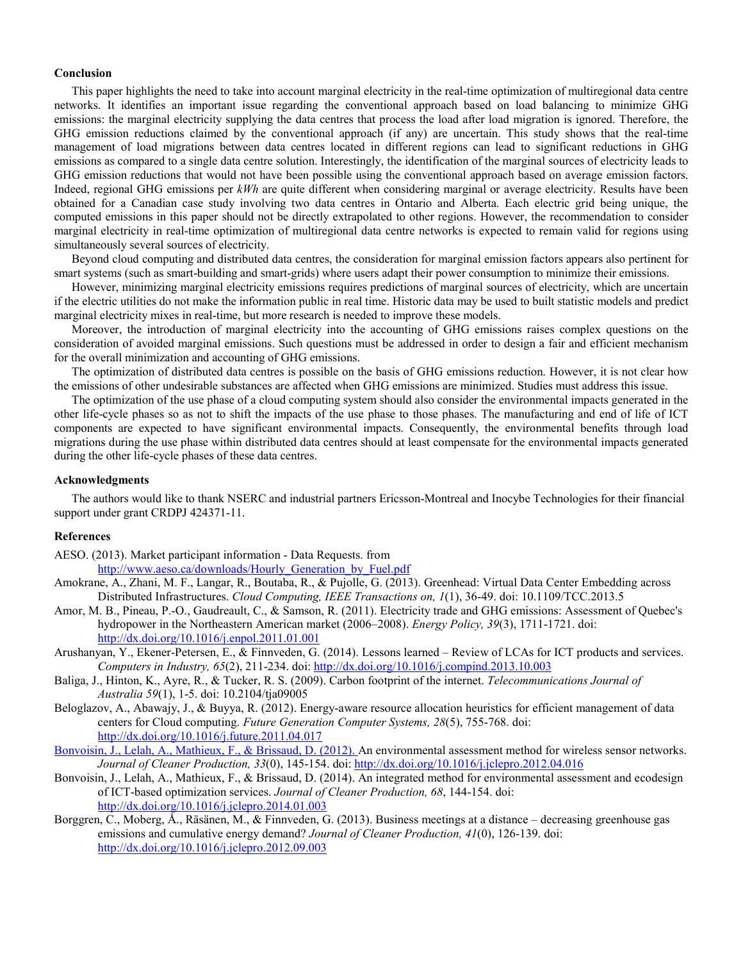### **Conclusion**

This paper highlights the need to take into account marginal electricity in the real-time optimization of multiregional data centre networks. It identifies an important issue regarding the conventional approach based on load balancing to minimize GHG emissions: the marginal electricity supplying the data centres that process the load after load migration is ignored. Therefore, the GHG emission reductions claimed by the conventional approach (if any) are uncertain. This study shows that the real-time management of load migrations between data centres located in different regions can lead to significant reductions in GHG emissions as compared to a single data centre solution. Interestingly, the identification of the marginal sources of electricity leads to GHG emission reductions that would not have been possible using the conventional approach based on average emission factors. Indeed, regional GHG emissions per *kWh* are quite different when considering marginal or average electricity. Results have been obtained for a Canadian case study involving two data centres in Ontario and Alberta. Each electric grid being unique, the computed emissions in this paper should not be directly extrapolated to other regions. However, the recommendation to consider marginal electricity in real-time optimization of multiregional data centre networks is expected to remain valid for regions using simultaneously several sources of electricity.

Beyond cloud computing and distributed data centres, the consideration for marginal emission factors appears also pertinent for smart systems (such as smart-building and smart-grids) where users adapt their power consumption to minimize their emissions.

However, minimizing marginal electricity emissions requires predictions of marginal sources of electricity, which are uncertain if the electric utilities do not make the information public in real time. Historic data may be used to built statistic models and predict marginal electricity mixes in real-time, but more research is needed to improve these models.

Moreover, the introduction of marginal electricity into the accounting of GHG emissions raises complex questions on the consideration of avoided marginal emissions. Such questions must be addressed in order to design a fair and efficient mechanism for the overall minimization and accounting of GHG emissions.

The optimization of distributed data centres is possible on the basis of GHG emissions reduction. However, it is not clear how the emissions of other undesirable substances are affected when GHG emissions are minimized. Studies must address this issue.

The optimization of the use phase of a cloud computing system should also consider the environmental impacts generated in the other life-cycle phases so as not to shift the impacts of the use phase to those phases. The manufacturing and end of life of ICT components are expected to have significant environmental impacts. Consequently, the environmental benefits through load migrations during the use phase within distributed data centres should at least compensate for the environmental impacts generated during the other life-cycle phases of these data centres.

### **Acknowledgments**

The authors would like to thank NSERC and industrial partners Ericsson-Montreal and Inocybe Technologies for their financial support under grant CRDPJ 424371-11.

### **References**

<span id="page-9-2"></span>AESO. (2013). Market participant information - Data Requests. from [http://www.aeso.ca/downloads/Hourly\\_Generation\\_by\\_Fuel.pdf](http://www.aeso.ca/downloads/Hourly_Generation_by_Fuel.pdf)

- <span id="page-9-1"></span>Amokrane, A., Zhani, M. F., Langar, R., Boutaba, R., & Pujolle, G. (2013). Greenhead: Virtual Data Center Embedding across Distributed Infrastructures. *Cloud Computing, IEEE Transactions on, 1*(1), 36-49. doi: 10.1109/TCC.2013.5
- <span id="page-9-3"></span>Amor, M. B., Pineau, P.-O., Gaudreault, C., & Samson, R. (2011). Electricity trade and GHG emissions: Assessment of Quebec's hydropower in the Northeastern American market (2006–2008). *Energy Policy, 39*(3), 1711-1721. doi: <http://dx.doi.org/10.1016/j.enpol.2011.01.001>
- <span id="page-9-7"></span>Arushanyan, Y., Ekener-Petersen, E., & Finnveden, G. (2014). Lessons learned – Review of LCAs for ICT products and services. *Computers in Industry, 65*(2), 211-234. doi[: http://dx.doi.org/10.1016/j.compind.2013.10.003](http://dx.doi.org/10.1016/j.compind.2013.10.003)
- <span id="page-9-8"></span>Baliga, J., Hinton, K., Ayre, R., & Tucker, R. S. (2009). Carbon footprint of the internet. *Telecommunications Journal of Australia 59*(1), 1-5. doi: 10.2104/tja09005
- <span id="page-9-0"></span>Beloglazov, A., Abawajy, J., & Buyya, R. (2012). Energy-aware resource allocation heuristics for efficient management of data centers for Cloud computing. *Future Generation Computer Systems, 28*(5), 755-768. doi: <http://dx.doi.org/10.1016/j.future.2011.04.017>
- <span id="page-9-4"></span>Bonvoisin, J., Lelah, A., Mathieux, F., & Brissaud, D. (2012). An environmental assessment method for wireless sensor networks. *Journal of Cleaner Production, 33*(0), 145-154. doi:<http://dx.doi.org/10.1016/j.jclepro.2012.04.016>
- <span id="page-9-5"></span>Bonvoisin, J., Lelah, A., Mathieux, F., & Brissaud, D. (2014). An integrated method for environmental assessment and ecodesign of ICT-based optimization services. *Journal of Cleaner Production, 68*, 144-154. doi: <http://dx.doi.org/10.1016/j.jclepro.2014.01.003>
- <span id="page-9-6"></span>Borggren, C., Moberg, Å., Räsänen, M., & Finnveden, G. (2013). Business meetings at a distance – decreasing greenhouse gas emissions and cumulative energy demand? *Journal of Cleaner Production, 41*(0), 126-139. doi: <http://dx.doi.org/10.1016/j.jclepro.2012.09.003>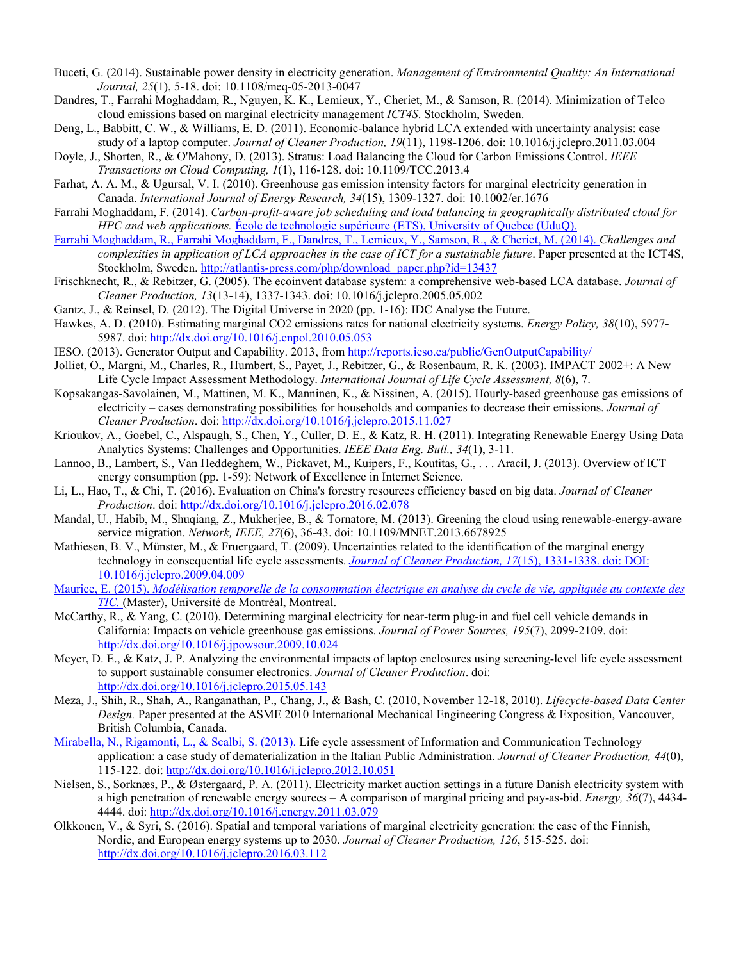- <span id="page-10-19"></span>Buceti, G. (2014). Sustainable power density in electricity generation. *Management of Environmental Quality: An International Journal, 25*(1), 5-18. doi: 10.1108/meq-05-2013-0047
- <span id="page-10-13"></span>Dandres, T., Farrahi Moghaddam, R., Nguyen, K. K., Lemieux, Y., Cheriet, M., & Samson, R. (2014). Minimization of Telco cloud emissions based on marginal electricity management *ICT4S*. Stockholm, Sweden.
- <span id="page-10-21"></span>Deng, L., Babbitt, C. W., & Williams, E. D. (2011). Economic-balance hybrid LCA extended with uncertainty analysis: case study of a laptop computer. *Journal of Cleaner Production, 19*(11), 1198-1206. doi: 10.1016/j.jclepro.2011.03.004
- <span id="page-10-2"></span>Doyle, J., Shorten, R., & O'Mahony, D. (2013). Stratus: Load Balancing the Cloud for Carbon Emissions Control. *IEEE Transactions on Cloud Computing, 1*(1), 116-128. doi: 10.1109/TCC.2013.4
- <span id="page-10-8"></span>Farhat, A. A. M., & Ugursal, V. I. (2010). Greenhouse gas emission intensity factors for marginal electricity generation in Canada. *International Journal of Energy Research, 34*(15), 1309-1327. doi: 10.1002/er.1676
- <span id="page-10-16"></span>Farrahi Moghaddam, F. (2014). *Carbon-profit-aware job scheduling and load balancing in geographically distributed cloud for HPC and web applications.* École de technologie supérieure (ETS), University of Quebec (UduQ).
- <span id="page-10-24"></span>Farrahi Moghaddam, R., Farrahi Moghaddam, F., Dandres, T., Lemieux, Y., Samson, R., & Cheriet, M. (2014). *Challenges and complexities in application of LCA approaches in the case of ICT for a sustainable future*. Paper presented at the ICT4S, Stockholm, Sweden[. http://atlantis-press.com/php/download\\_paper.php?id=13437](http://atlantis-press.com/php/download_paper.php?id=13437)
- <span id="page-10-17"></span>Frischknecht, R., & Rebitzer, G. (2005). The ecoinvent database system: a comprehensive web-based LCA database. *Journal of Cleaner Production, 13*(13-14), 1337-1343. doi: 10.1016/j.jclepro.2005.05.002
- <span id="page-10-0"></span>Gantz, J., & Reinsel, D. (2012). The Digital Universe in 2020 (pp. 1-16): IDC Analyse the Future.
- <span id="page-10-12"></span>Hawkes, A. D. (2010). Estimating marginal CO2 emissions rates for national electricity systems. *Energy Policy, 38*(10), 5977- 5987. doi[: http://dx.doi.org/10.1016/j.enpol.2010.05.053](http://dx.doi.org/10.1016/j.enpol.2010.05.053)
- <span id="page-10-5"></span>IESO. (2013). Generator Output and Capability. 2013, from<http://reports.ieso.ca/public/GenOutputCapability/>
- <span id="page-10-18"></span>Jolliet, O., Margni, M., Charles, R., Humbert, S., Payet, J., Rebitzer, G., & Rosenbaum, R. K. (2003). IMPACT 2002+: A New Life Cycle Impact Assessment Methodology. *International Journal of Life Cycle Assessment, 8*(6), 7.
- <span id="page-10-11"></span>Kopsakangas-Savolainen, M., Mattinen, M. K., Manninen, K., & Nissinen, A. (2015). Hourly-based greenhouse gas emissions of electricity – cases demonstrating possibilities for households and companies to decrease their emissions. *Journal of Cleaner Production*. doi:<http://dx.doi.org/10.1016/j.jclepro.2015.11.027>
- <span id="page-10-3"></span>Krioukov, A., Goebel, C., Alspaugh, S., Chen, Y., Culler, D. E., & Katz, R. H. (2011). Integrating Renewable Energy Using Data Analytics Systems: Challenges and Opportunities. *IEEE Data Eng. Bull., 34*(1), 3-11.
- <span id="page-10-1"></span>Lannoo, B., Lambert, S., Van Heddeghem, W., Pickavet, M., Kuipers, F., Koutitas, G., . . . Aracil, J. (2013). Overview of ICT energy consumption (pp. 1-59): Network of Excellence in Internet Science.
- <span id="page-10-15"></span>Li, L., Hao, T., & Chi, T. (2016). Evaluation on China's forestry resources efficiency based on big data. *Journal of Cleaner Production*. doi[: http://dx.doi.org/10.1016/j.jclepro.2016.02.078](http://dx.doi.org/10.1016/j.jclepro.2016.02.078)
- <span id="page-10-4"></span>Mandal, U., Habib, M., Shuqiang, Z., Mukherjee, B., & Tornatore, M. (2013). Greening the cloud using renewable-energy-aware service migration. *Network, IEEE, 27*(6), 36-43. doi: 10.1109/MNET.2013.6678925
- <span id="page-10-7"></span>Mathiesen, B. V., Münster, M., & Fruergaard, T. (2009). Uncertainties related to the identification of the marginal energy technology in consequential life cycle assessments. *Journal of Cleaner Production, 17*(15), 1331-1338. doi: DOI: 10.1016/j.jclepro.2009.04.009
- <span id="page-10-14"></span>Maurice, E. (2015). *Modélisation temporelle de la consommation électrique en analyse du cycle de vie, appliquée au contexte des TIC.* (Master), Université de Montréal, Montreal.
- <span id="page-10-9"></span>McCarthy, R., & Yang, C. (2010). Determining marginal electricity for near-term plug-in and fuel cell vehicle demands in California: Impacts on vehicle greenhouse gas emissions. *Journal of Power Sources, 195*(7), 2099-2109. doi: <http://dx.doi.org/10.1016/j.jpowsour.2009.10.024>
- <span id="page-10-23"></span>Meyer, D. E., & Katz, J. P. Analyzing the environmental impacts of laptop enclosures using screening-level life cycle assessment to support sustainable consumer electronics. *Journal of Cleaner Production*. doi: <http://dx.doi.org/10.1016/j.jclepro.2015.05.143>
- <span id="page-10-20"></span>Meza, J., Shih, R., Shah, A., Ranganathan, P., Chang, J., & Bash, C. (2010, November 12-18, 2010). *Lifecycle-based Data Center Design.* Paper presented at the ASME 2010 International Mechanical Engineering Congress & Exposition, Vancouver, British Columbia, Canada.
- <span id="page-10-22"></span>Mirabella, N., Rigamonti, L., & Scalbi, S. (2013). Life cycle assessment of Information and Communication Technology application: a case study of dematerialization in the Italian Public Administration. *Journal of Cleaner Production, 44*(0), 115-122. doi:<http://dx.doi.org/10.1016/j.jclepro.2012.10.051>
- <span id="page-10-6"></span>Nielsen, S., Sorknæs, P., & Østergaard, P. A. (2011). Electricity market auction settings in a future Danish electricity system with a high penetration of renewable energy sources – A comparison of marginal pricing and pay-as-bid. *Energy, 36*(7), 4434- 4444. doi[: http://dx.doi.org/10.1016/j.energy.2011.03.079](http://dx.doi.org/10.1016/j.energy.2011.03.079)
- <span id="page-10-10"></span>Olkkonen, V., & Syri, S. (2016). Spatial and temporal variations of marginal electricity generation: the case of the Finnish, Nordic, and European energy systems up to 2030. *Journal of Cleaner Production, 126*, 515-525. doi: <http://dx.doi.org/10.1016/j.jclepro.2016.03.112>